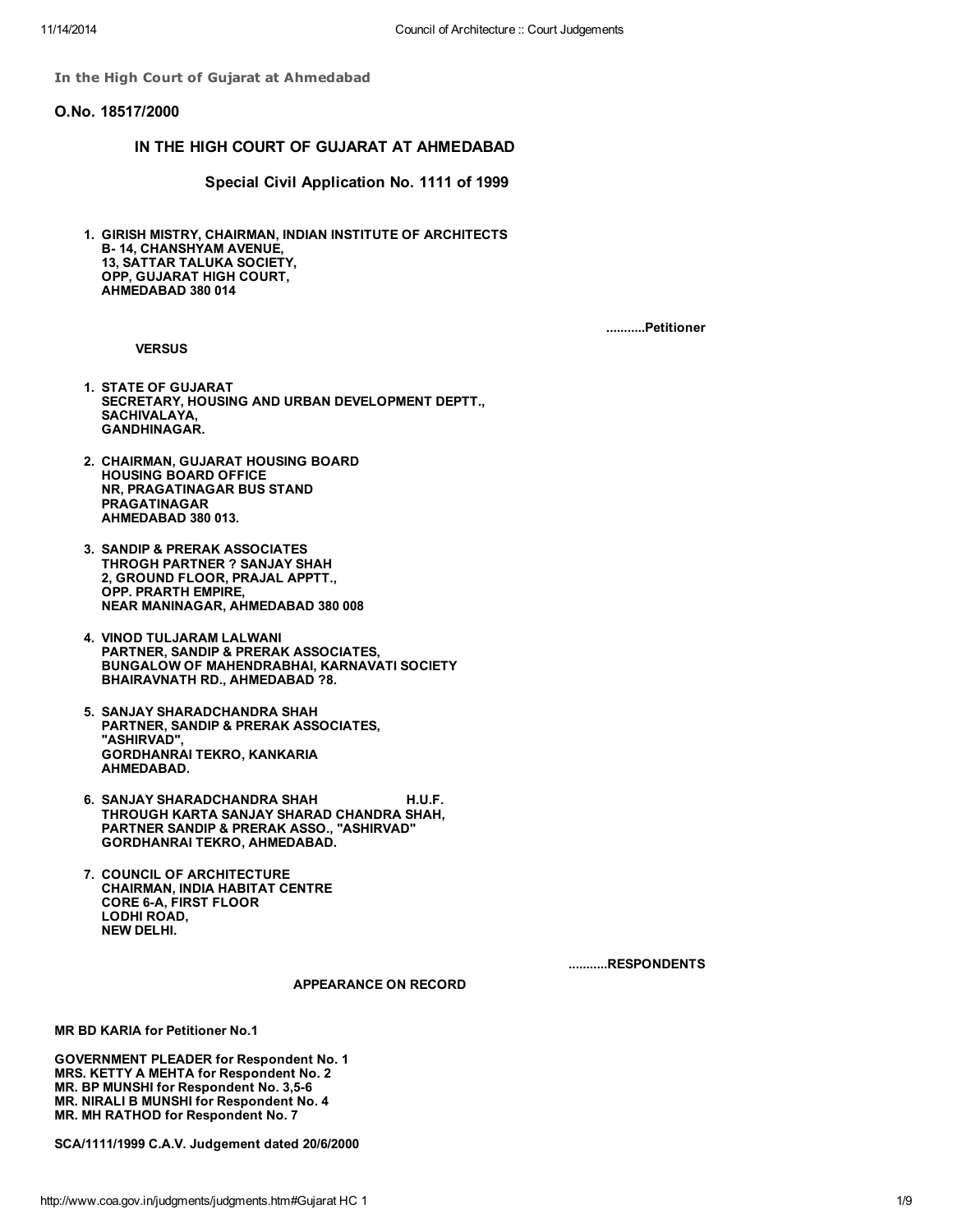In the High Court of Gujarat at Ahmedabad

#### O.No. 18517/2000

## IN THE HIGH COURT OF GUJARAT AT AHMEDABAD

Special Civil Application No. 1111 of 1999

1. GIRISH MISTRY, CHAIRMAN, INDIAN INSTITUTE OF ARCHITECTS B- 14, CHANSHYAM AVENUE, 13, SATTAR TALUKA SOCIETY, OPP, GUJARAT HIGH COURT, AHMEDABAD 380 014

**VERSUS** 

...........Petitioner

- 1. STATE OF GUJARAT SECRETARY, HOUSING AND URBAN DEVELOPMENT DEPTT., SACHIVALAYA, GANDHINAGAR.
- 2. CHAIRMAN, GUJARAT HOUSING BOARD HOUSING BOARD OFFICE NR, PRAGATINAGAR BUS STAND PRAGATINAGAR AHMEDABAD 380 013.
- 3. SANDIP & PRERAK ASSOCIATES THROGH PARTNER ? SANJAY SHAH 2, GROUND FLOOR, PRAJAL APPTT., OPP. PRARTH EMPIRE, NEAR MANINAGAR, AHMEDABAD 380 008
- 4. VINOD TULJARAM LALWANI PARTNER, SANDIP & PRERAK ASSOCIATES, BUNGALOW OF MAHENDRABHAI, KARNAVATI SOCIETY BHAIRAVNATH RD., AHMEDABAD ?8.
- 5. SANJAY SHARADCHANDRA SHAH PARTNER, SANDIP & PRERAK ASSOCIATES, "ASHIRVAD", GORDHANRAI TEKRO, KANKARIA AHMEDABAD.
- 6. SANJAY SHARADCHANDRA SHAH H.U.F. THROUGH KARTA SANJAY SHARAD CHANDRA SHAH, PARTNER SANDIP & PRERAK ASSO., "ASHIRVAD" GORDHANRAI TEKRO, AHMEDABAD.
- 7. COUNCIL OF ARCHITECTURE CHAIRMAN, INDIA HABITAT CENTRE CORE 6-A, FIRST FLOOR LODHI ROAD, NEW DELHI.

...........RESPONDENTS

APPEARANCE ON RECORD

MR BD KARIA for Petitioner No.1

GOVERNMENT PLEADER for Respondent No. 1 MRS. KETTY A MEHTA for Respondent No. 2 MR. BP MUNSHI for Respondent No. 3,5-6 MR. NIRALI B MUNSHI for Respondent No. 4 MR. MH RATHOD for Respondent No. 7

SCA/1111/1999 C.A.V. Judgement dated 20/6/2000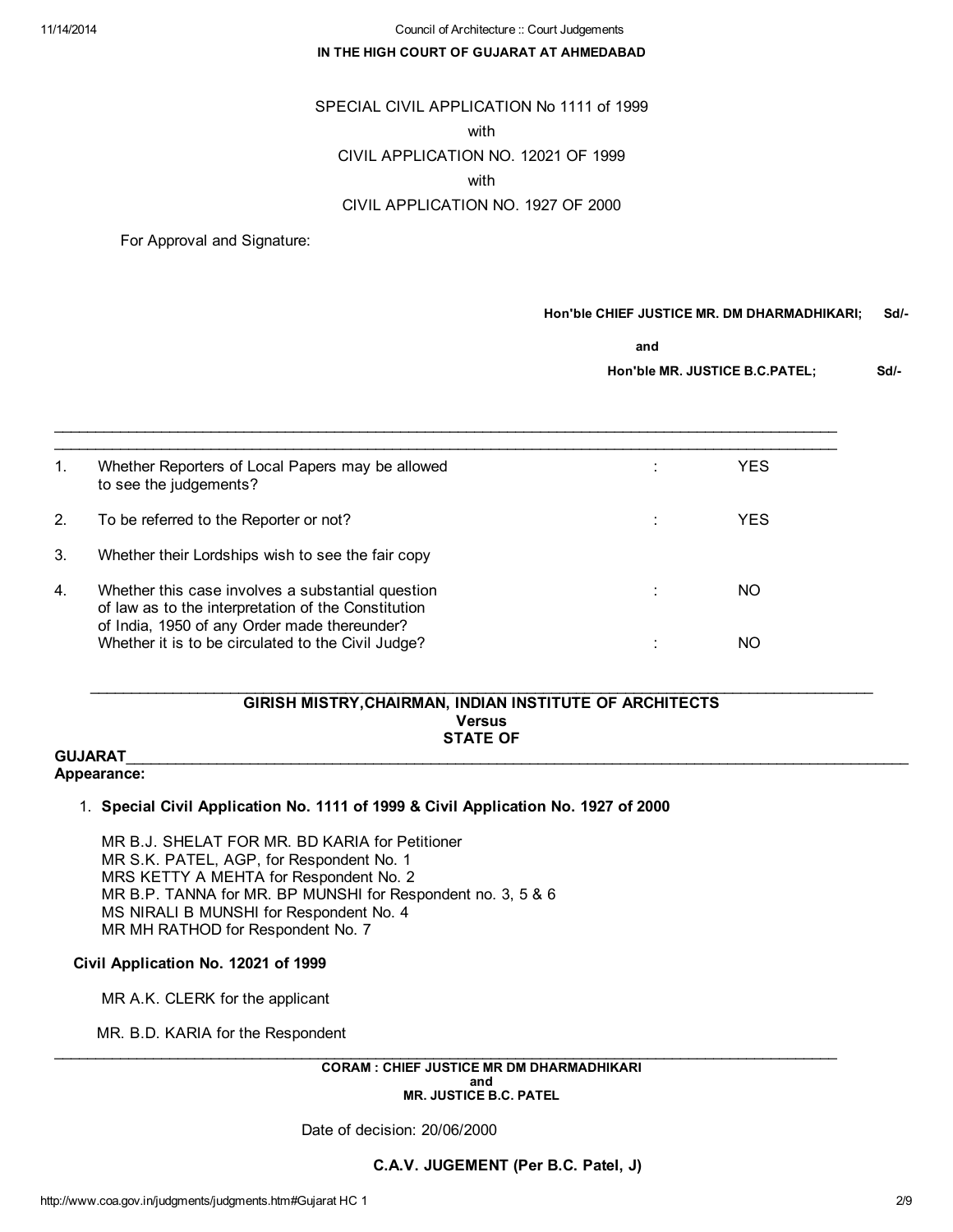### IN THE HIGH COURT OF GUJARAT AT AHMEDABAD

## SPECIAL CIVIL APPLICATION No 1111 of 1999

#### with

## CIVIL APPLICATION NO. 12021 OF 1999

### with

# CIVIL APPLICATION NO. 1927 OF 2000

For Approval and Signature:

### Hon'ble CHIEF JUSTICE MR. DM DHARMADHIKARI; Sd/-

and

Hon'ble MR. JUSTICE B.C.PATEL; Sd/-

| 1. | Whether Reporters of Local Papers may be allowed<br>to see the judgements?                                                                               | YES |
|----|----------------------------------------------------------------------------------------------------------------------------------------------------------|-----|
| 2. | To be referred to the Reporter or not?                                                                                                                   | YES |
| 3. | Whether their Lordships wish to see the fair copy                                                                                                        |     |
| 4. | Whether this case involves a substantial question<br>of law as to the interpretation of the Constitution<br>of India, 1950 of any Order made thereunder? | NO. |
|    | Whether it is to be circulated to the Civil Judge?                                                                                                       | NO  |

 $\mathcal{L}_\mathcal{L} = \{ \mathcal{L}_\mathcal{L} = \{ \mathcal{L}_\mathcal{L} = \{ \mathcal{L}_\mathcal{L} = \{ \mathcal{L}_\mathcal{L} = \{ \mathcal{L}_\mathcal{L} = \{ \mathcal{L}_\mathcal{L} = \{ \mathcal{L}_\mathcal{L} = \{ \mathcal{L}_\mathcal{L} = \{ \mathcal{L}_\mathcal{L} = \{ \mathcal{L}_\mathcal{L} = \{ \mathcal{L}_\mathcal{L} = \{ \mathcal{L}_\mathcal{L} = \{ \mathcal{L}_\mathcal{L} = \{ \mathcal{L}_\mathcal{$ 

### GIRISH MISTRY,CHAIRMAN, INDIAN INSTITUTE OF ARCHITECTS Versus STATE OF

\_\_\_\_\_\_\_\_\_\_\_\_\_\_\_\_\_\_\_\_\_\_\_\_\_\_\_\_\_\_\_\_\_\_\_\_\_\_\_\_\_\_\_\_\_\_\_\_\_\_\_\_\_\_\_\_\_\_\_\_\_\_\_\_\_\_\_\_\_\_\_\_\_\_\_\_\_\_\_\_\_\_\_\_\_\_\_\_\_\_\_\_\_\_\_

#### $\textsf{GUJARAT}\xspace_\textsf{u}$ Appearance:

## 1. Special Civil Application No. 1111 of 1999 & Civil Application No. 1927 of 2000

MR B.J. SHELAT FOR MR. BD KARIA for Petitioner MR S.K. PATEL, AGP, for Respondent No. 1 MRS KETTY A MEHTA for Respondent No. 2 MR B.P. TANNA for MR. BP MUNSHI for Respondent no. 3, 5 & 6 MS NIRALI B MUNSHI for Respondent No. 4 MR MH RATHOD for Respondent No. 7

## Civil Application No. 12021 of 1999

MR A.K. CLERK for the applicant

MR. B.D. KARIA for the Respondent

 $\_$  ,  $\_$  ,  $\_$  ,  $\_$  ,  $\_$  ,  $\_$  ,  $\_$  ,  $\_$  ,  $\_$  ,  $\_$  ,  $\_$  ,  $\_$  ,  $\_$  ,  $\_$  ,  $\_$  ,  $\_$  ,  $\_$  ,  $\_$  ,  $\_$  ,  $\_$  ,  $\_$  ,  $\_$  ,  $\_$  ,  $\_$  ,  $\_$  ,  $\_$  ,  $\_$  ,  $\_$  ,  $\_$  ,  $\_$  ,  $\_$  ,  $\_$  ,  $\_$  ,  $\_$  ,  $\_$  ,  $\_$  ,  $\_$  , CORAM : CHIEF JUSTICE MR DM DHARMADHIKARI and MR. JUSTICE B.C. PATEL

Date of decision: 20/06/2000

C.A.V. JUGEMENT (Per B.C. Patel, J)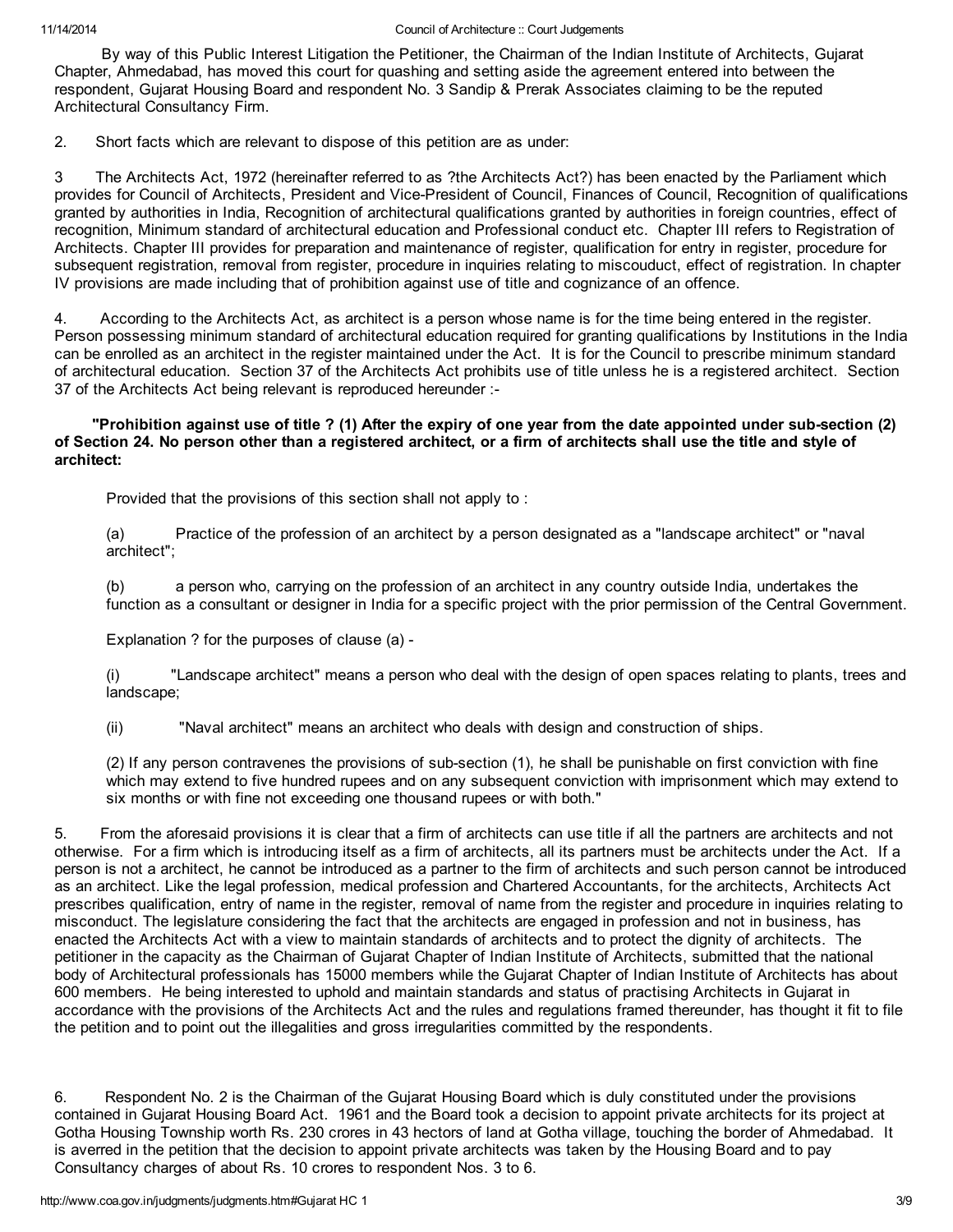By way of this Public Interest Litigation the Petitioner, the Chairman of the Indian Institute of Architects, Gujarat Chapter, Ahmedabad, has moved this court for quashing and setting aside the agreement entered into between the respondent, Gujarat Housing Board and respondent No. 3 Sandip & Prerak Associates claiming to be the reputed Architectural Consultancy Firm.

2. Short facts which are relevant to dispose of this petition are as under:

3 The Architects Act, 1972 (hereinafter referred to as ?the Architects Act?) has been enacted by the Parliament which provides for Council of Architects, President and Vice-President of Council, Finances of Council, Recognition of qualifications granted by authorities in India, Recognition of architectural qualifications granted by authorities in foreign countries, effect of recognition, Minimum standard of architectural education and Professional conduct etc. Chapter III refers to Registration of Architects. Chapter III provides for preparation and maintenance of register, qualification for entry in register, procedure for subsequent registration, removal from register, procedure in inquiries relating to miscouduct, effect of registration. In chapter IV provisions are made including that of prohibition against use of title and cognizance of an offence.

4. According to the Architects Act, as architect is a person whose name is for the time being entered in the register. Person possessing minimum standard of architectural education required for granting qualifications by Institutions in the India can be enrolled as an architect in the register maintained under the Act. It is for the Council to prescribe minimum standard of architectural education. Section 37 of the Architects Act prohibits use of title unless he is a registered architect. Section 37 of the Architects Act being relevant is reproduced hereunder :-

## "Prohibition against use of title ? (1) After the expiry of one year from the date appointed under sub-section (2) of Section 24. No person other than a registered architect, or a firm of architects shall use the title and style of architect:

Provided that the provisions of this section shall not apply to :

(a) Practice of the profession of an architect by a person designated as a "landscape architect" or "naval architect";

(b) a person who, carrying on the profession of an architect in any country outside India, undertakes the function as a consultant or designer in India for a specific project with the prior permission of the Central Government.

Explanation ? for the purposes of clause (a) -

(i) "Landscape architect" means a person who deal with the design of open spaces relating to plants, trees and landscape;

(ii) "Naval architect" means an architect who deals with design and construction of ships.

(2) If any person contravenes the provisions of sub-section (1), he shall be punishable on first conviction with fine which may extend to five hundred rupees and on any subsequent conviction with imprisonment which may extend to six months or with fine not exceeding one thousand rupees or with both."

5. From the aforesaid provisions it is clear that a firm of architects can use title if all the partners are architects and not otherwise. For a firm which is introducing itself as a firm of architects, all its partners must be architects under the Act. If a person is not a architect, he cannot be introduced as a partner to the firm of architects and such person cannot be introduced as an architect. Like the legal profession, medical profession and Chartered Accountants, for the architects, Architects Act prescribes qualification, entry of name in the register, removal of name from the register and procedure in inquiries relating to misconduct. The legislature considering the fact that the architects are engaged in profession and not in business, has enacted the Architects Act with a view to maintain standards of architects and to protect the dignity of architects. The petitioner in the capacity as the Chairman of Gujarat Chapter of Indian Institute of Architects, submitted that the national body of Architectural professionals has 15000 members while the Gujarat Chapter of Indian Institute of Architects has about 600 members. He being interested to uphold and maintain standards and status of practising Architects in Gujarat in accordance with the provisions of the Architects Act and the rules and regulations framed thereunder, has thought it fit to file the petition and to point out the illegalities and gross irregularities committed by the respondents.

6. Respondent No. 2 is the Chairman of the Gujarat Housing Board which is duly constituted under the provisions contained in Gujarat Housing Board Act. 1961 and the Board took a decision to appoint private architects for its project at Gotha Housing Township worth Rs. 230 crores in 43 hectors of land at Gotha village, touching the border of Ahmedabad. It is averred in the petition that the decision to appoint private architects was taken by the Housing Board and to pay Consultancy charges of about Rs. 10 crores to respondent Nos. 3 to 6.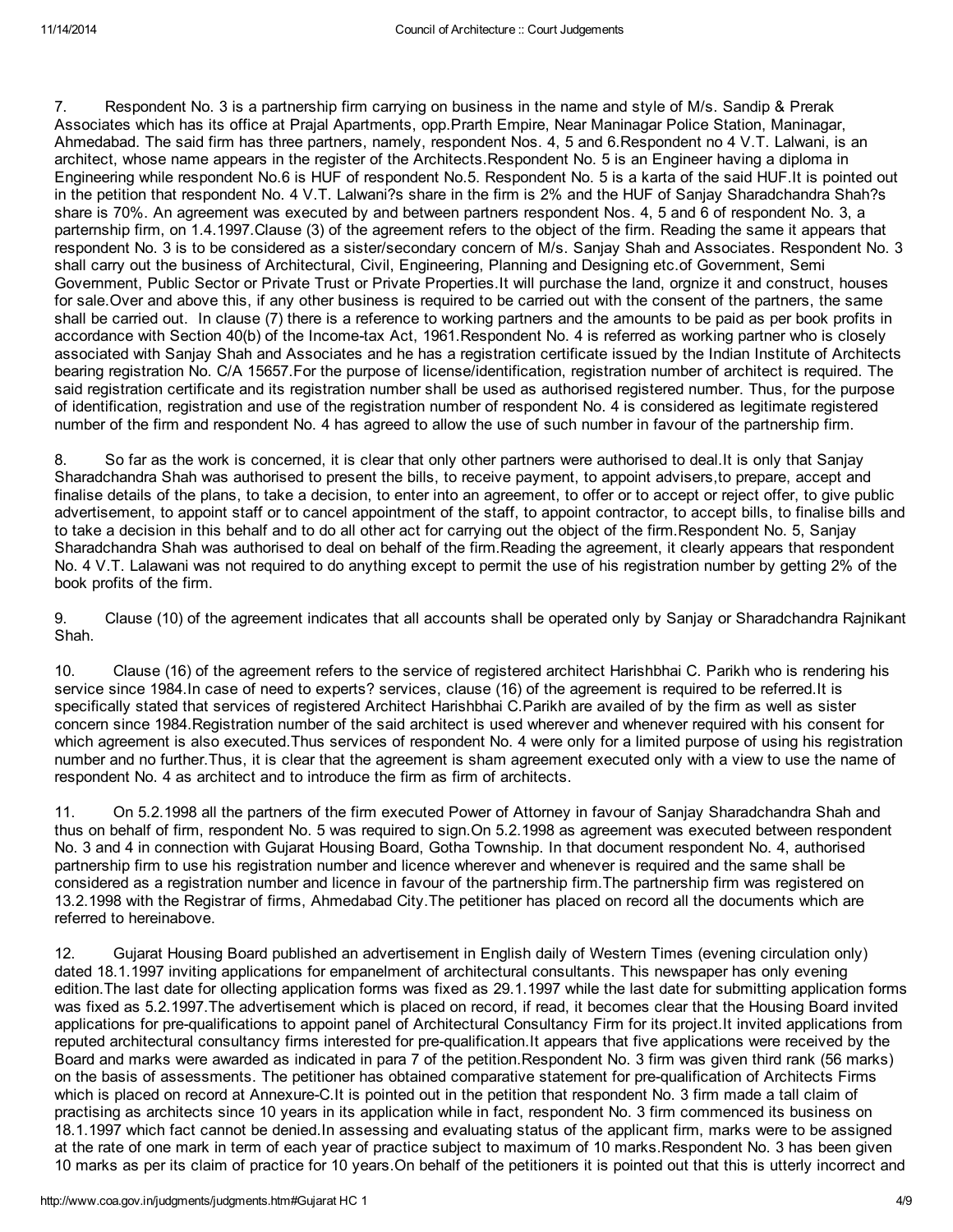7. Respondent No. 3 is a partnership firm carrying on business in the name and style of M/s. Sandip & Prerak Associates which has its office at Prajal Apartments, opp.Prarth Empire, Near Maninagar Police Station, Maninagar, Ahmedabad. The said firm has three partners, namely, respondent Nos. 4, 5 and 6.Respondent no 4 V.T. Lalwani, is an architect, whose name appears in the register of the Architects.Respondent No. 5 is an Engineer having a diploma in Engineering while respondent No.6 is HUF of respondent No.5. Respondent No. 5 is a karta of the said HUF.It is pointed out in the petition that respondent No. 4 V.T. Lalwani?s share in the firm is 2% and the HUF of Sanjay Sharadchandra Shah?s share is 70%. An agreement was executed by and between partners respondent Nos. 4, 5 and 6 of respondent No. 3, a parternship firm, on 1.4.1997.Clause (3) of the agreement refers to the object of the firm. Reading the same it appears that respondent No. 3 is to be considered as a sister/secondary concern of M/s. Sanjay Shah and Associates. Respondent No. 3 shall carry out the business of Architectural, Civil, Engineering, Planning and Designing etc.of Government, Semi Government, Public Sector or Private Trust or Private Properties.It will purchase the land, orgnize it and construct, houses for sale.Over and above this, if any other business is required to be carried out with the consent of the partners, the same shall be carried out. In clause (7) there is a reference to working partners and the amounts to be paid as per book profits in accordance with Section 40(b) of the Income-tax Act, 1961.Respondent No. 4 is referred as working partner who is closely associated with Sanjay Shah and Associates and he has a registration certificate issued by the Indian Institute of Architects bearing registration No. C/A 15657.For the purpose of license/identification, registration number of architect is required. The said registration certificate and its registration number shall be used as authorised registered number. Thus, for the purpose of identification, registration and use of the registration number of respondent No. 4 is considered as legitimate registered number of the firm and respondent No. 4 has agreed to allow the use of such number in favour of the partnership firm.

8. So far as the work is concerned, it is clear that only other partners were authorised to deal.It is only that Sanjay Sharadchandra Shah was authorised to present the bills, to receive payment, to appoint advisers,to prepare, accept and finalise details of the plans, to take a decision, to enter into an agreement, to offer or to accept or reject offer, to give public advertisement, to appoint staff or to cancel appointment of the staff, to appoint contractor, to accept bills, to finalise bills and to take a decision in this behalf and to do all other act for carrying out the object of the firm.Respondent No. 5, Sanjay Sharadchandra Shah was authorised to deal on behalf of the firm.Reading the agreement, it clearly appears that respondent No. 4 V.T. Lalawani was not required to do anything except to permit the use of his registration number by getting 2% of the book profits of the firm.

9. Clause (10) of the agreement indicates that all accounts shall be operated only by Sanjay or Sharadchandra Rajnikant Shah.

10. Clause (16) of the agreement refers to the service of registered architect Harishbhai C. Parikh who is rendering his service since 1984.In case of need to experts? services, clause (16) of the agreement is required to be referred.It is specifically stated that services of registered Architect Harishbhai C.Parikh are availed of by the firm as well as sister concern since 1984.Registration number of the said architect is used wherever and whenever required with his consent for which agreement is also executed.Thus services of respondent No. 4 were only for a limited purpose of using his registration number and no further.Thus, it is clear that the agreement is sham agreement executed only with a view to use the name of respondent No. 4 as architect and to introduce the firm as firm of architects.

11. On 5.2.1998 all the partners of the firm executed Power of Attorney in favour of Sanjay Sharadchandra Shah and thus on behalf of firm, respondent No. 5 was required to sign.On 5.2.1998 as agreement was executed between respondent No. 3 and 4 in connection with Gujarat Housing Board, Gotha Township. In that document respondent No. 4, authorised partnership firm to use his registration number and licence wherever and whenever is required and the same shall be considered as a registration number and licence in favour of the partnership firm.The partnership firm was registered on 13.2.1998 with the Registrar of firms, Ahmedabad City.The petitioner has placed on record all the documents which are referred to hereinabove.

12. Gujarat Housing Board published an advertisement in English daily of Western Times (evening circulation only) dated 18.1.1997 inviting applications for empanelment of architectural consultants. This newspaper has only evening edition.The last date for ollecting application forms was fixed as 29.1.1997 while the last date for submitting application forms was fixed as 5.2.1997.The advertisement which is placed on record, if read, it becomes clear that the Housing Board invited applications for pre-qualifications to appoint panel of Architectural Consultancy Firm for its project.It invited applications from reputed architectural consultancy firms interested for pre-qualification.It appears that five applications were received by the Board and marks were awarded as indicated in para 7 of the petition.Respondent No. 3 firm was given third rank (56 marks) on the basis of assessments. The petitioner has obtained comparative statement for pre-qualification of Architects Firms which is placed on record at Annexure-C.It is pointed out in the petition that respondent No. 3 firm made a tall claim of practising as architects since 10 years in its application while in fact, respondent No. 3 firm commenced its business on 18.1.1997 which fact cannot be denied.In assessing and evaluating status of the applicant firm, marks were to be assigned at the rate of one mark in term of each year of practice subject to maximum of 10 marks.Respondent No. 3 has been given 10 marks as per its claim of practice for 10 years.On behalf of the petitioners it is pointed out that this is utterly incorrect and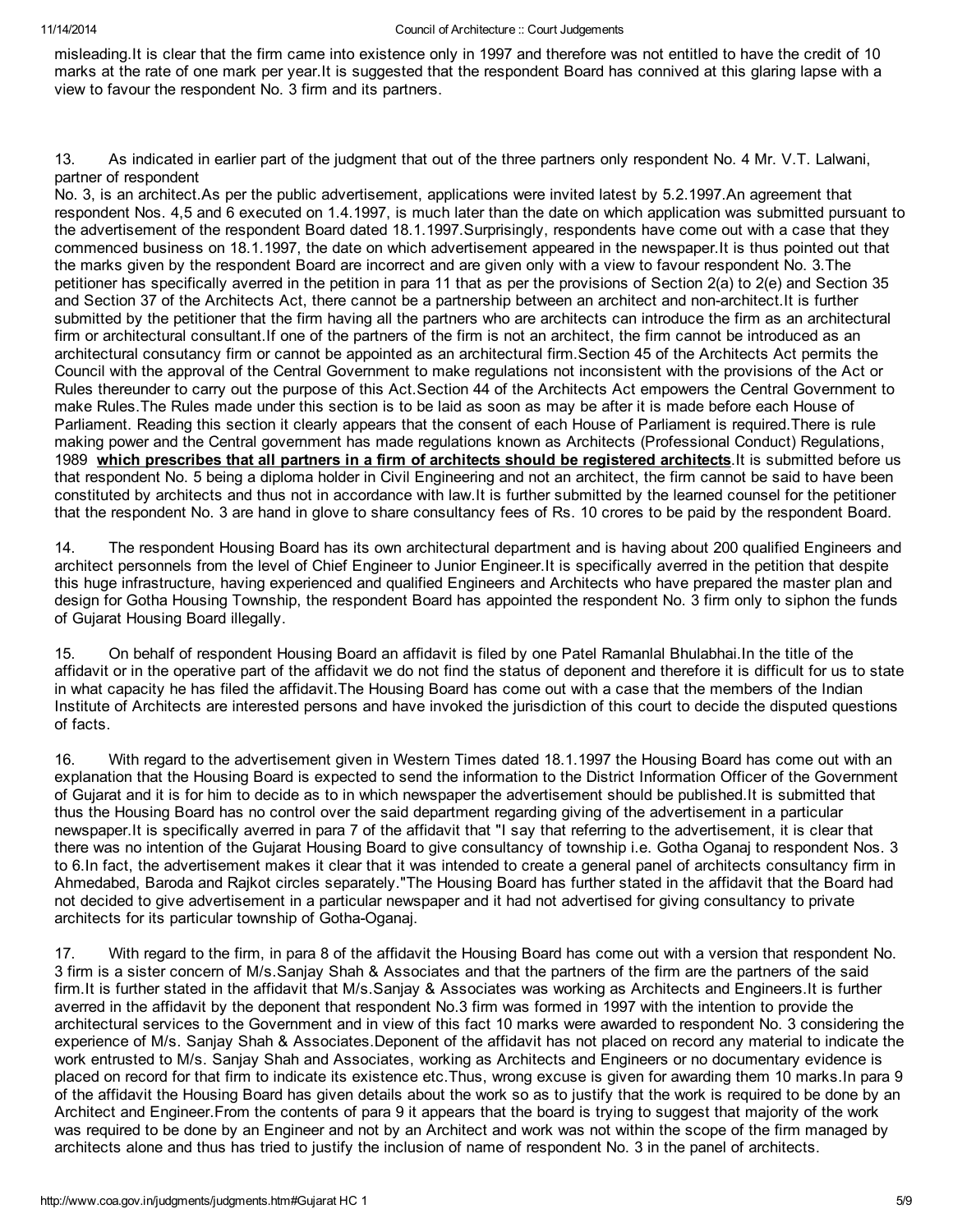misleading.It is clear that the firm came into existence only in 1997 and therefore was not entitled to have the credit of 10 marks at the rate of one mark per year.It is suggested that the respondent Board has connived at this glaring lapse with a view to favour the respondent No. 3 firm and its partners.

13. As indicated in earlier part of the judgment that out of the three partners only respondent No. 4 Mr. V.T. Lalwani, partner of respondent

No. 3, is an architect.As per the public advertisement, applications were invited latest by 5.2.1997.An agreement that respondent Nos. 4,5 and 6 executed on 1.4.1997, is much later than the date on which application was submitted pursuant to the advertisement of the respondent Board dated 18.1.1997.Surprisingly, respondents have come out with a case that they commenced business on 18.1.1997, the date on which advertisement appeared in the newspaper.It is thus pointed out that the marks given by the respondent Board are incorrect and are given only with a view to favour respondent No. 3.The petitioner has specifically averred in the petition in para 11 that as per the provisions of Section 2(a) to 2(e) and Section 35 and Section 37 of the Architects Act, there cannot be a partnership between an architect and non-architect.It is further submitted by the petitioner that the firm having all the partners who are architects can introduce the firm as an architectural firm or architectural consultant.If one of the partners of the firm is not an architect, the firm cannot be introduced as an architectural consutancy firm or cannot be appointed as an architectural firm.Section 45 of the Architects Act permits the Council with the approval of the Central Government to make regulations not inconsistent with the provisions of the Act or Rules thereunder to carry out the purpose of this Act.Section 44 of the Architects Act empowers the Central Government to make Rules.The Rules made under this section is to be laid as soon as may be after it is made before each House of Parliament. Reading this section it clearly appears that the consent of each House of Parliament is required.There is rule making power and the Central government has made regulations known as Architects (Professional Conduct) Regulations, 1989 which prescribes that all partners in a firm of architects should be registered architects. It is submitted before us that respondent No. 5 being a diploma holder in Civil Engineering and not an architect, the firm cannot be said to have been constituted by architects and thus not in accordance with law.It is further submitted by the learned counsel for the petitioner that the respondent No. 3 are hand in glove to share consultancy fees of Rs. 10 crores to be paid by the respondent Board.

14. The respondent Housing Board has its own architectural department and is having about 200 qualified Engineers and architect personnels from the level of Chief Engineer to Junior Engineer.It is specifically averred in the petition that despite this huge infrastructure, having experienced and qualified Engineers and Architects who have prepared the master plan and design for Gotha Housing Township, the respondent Board has appointed the respondent No. 3 firm only to siphon the funds of Gujarat Housing Board illegally.

15. On behalf of respondent Housing Board an affidavit is filed by one Patel Ramanlal Bhulabhai.In the title of the affidavit or in the operative part of the affidavit we do not find the status of deponent and therefore it is difficult for us to state in what capacity he has filed the affidavit.The Housing Board has come out with a case that the members of the Indian Institute of Architects are interested persons and have invoked the jurisdiction of this court to decide the disputed questions of facts.

16. With regard to the advertisement given in Western Times dated 18.1.1997 the Housing Board has come out with an explanation that the Housing Board is expected to send the information to the District Information Officer of the Government of Gujarat and it is for him to decide as to in which newspaper the advertisement should be published.It is submitted that thus the Housing Board has no control over the said department regarding giving of the advertisement in a particular newspaper.It is specifically averred in para 7 of the affidavit that "I say that referring to the advertisement, it is clear that there was no intention of the Gujarat Housing Board to give consultancy of township i.e. Gotha Oganaj to respondent Nos. 3 to 6.In fact, the advertisement makes it clear that it was intended to create a general panel of architects consultancy firm in Ahmedabed, Baroda and Rajkot circles separately."The Housing Board has further stated in the affidavit that the Board had not decided to give advertisement in a particular newspaper and it had not advertised for giving consultancy to private architects for its particular township of Gotha-Oganaj.

17. With regard to the firm, in para 8 of the affidavit the Housing Board has come out with a version that respondent No. 3 firm is a sister concern of M/s.Sanjay Shah & Associates and that the partners of the firm are the partners of the said firm.It is further stated in the affidavit that M/s.Sanjay & Associates was working as Architects and Engineers.It is further averred in the affidavit by the deponent that respondent No.3 firm was formed in 1997 with the intention to provide the architectural services to the Government and in view of this fact 10 marks were awarded to respondent No. 3 considering the experience of M/s. Sanjay Shah & Associates.Deponent of the affidavit has not placed on record any material to indicate the work entrusted to M/s. Sanjay Shah and Associates, working as Architects and Engineers or no documentary evidence is placed on record for that firm to indicate its existence etc.Thus, wrong excuse is given for awarding them 10 marks.In para 9 of the affidavit the Housing Board has given details about the work so as to justify that the work is required to be done by an Architect and Engineer.From the contents of para 9 it appears that the board is trying to suggest that majority of the work was required to be done by an Engineer and not by an Architect and work was not within the scope of the firm managed by architects alone and thus has tried to justify the inclusion of name of respondent No. 3 in the panel of architects.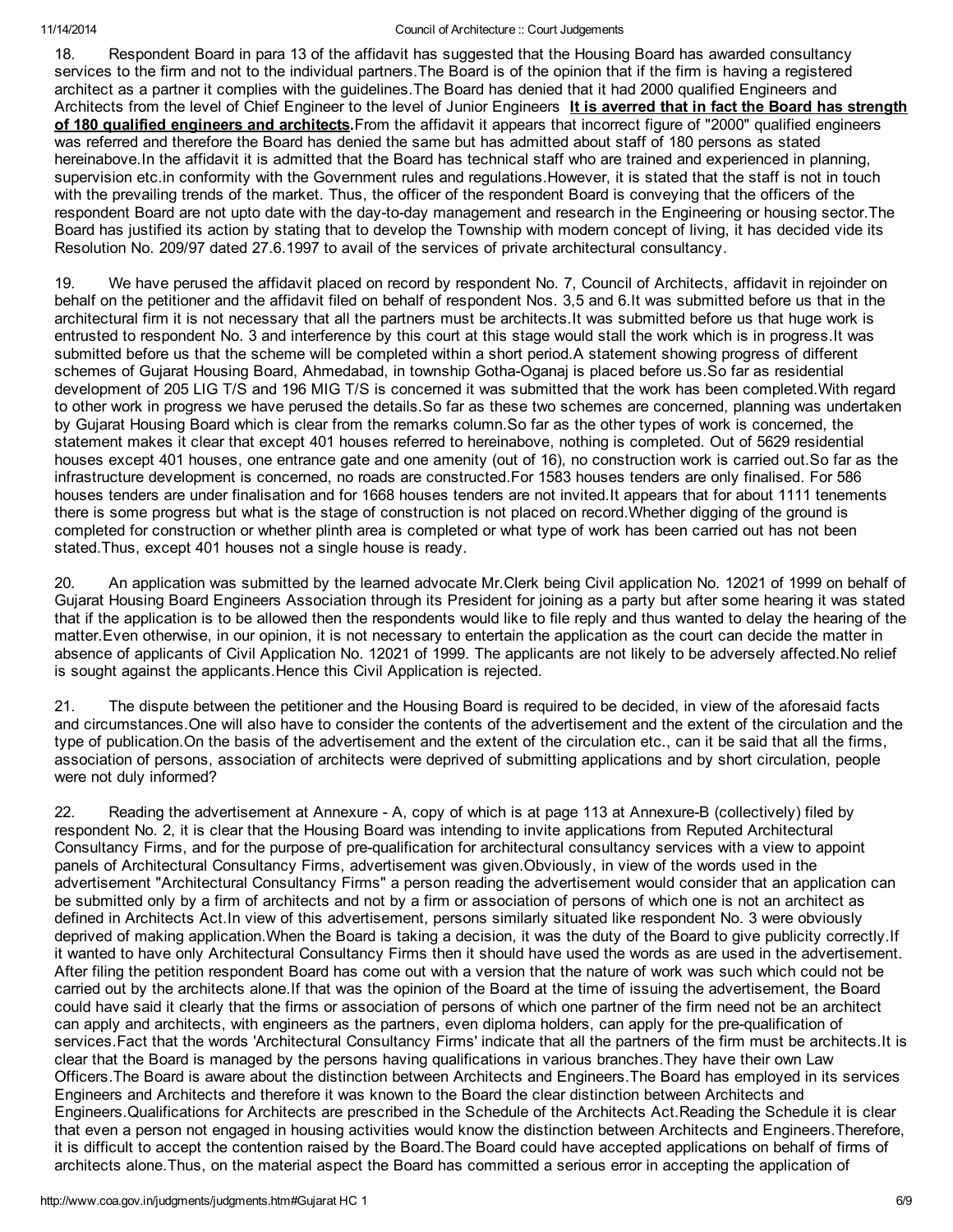18. Respondent Board in para 13 of the affidavit has suggested that the Housing Board has awarded consultancy services to the firm and not to the individual partners.The Board is of the opinion that if the firm is having a registered architect as a partner it complies with the guidelines.The Board has denied that it had 2000 qualified Engineers and Architects from the level of Chief Engineer to the level of Junior Engineers It is averred that in fact the Board has strength of 180 qualified engineers and architects.From the affidavit it appears that incorrect figure of "2000" qualified engineers was referred and therefore the Board has denied the same but has admitted about staff of 180 persons as stated hereinabove.In the affidavit it is admitted that the Board has technical staff who are trained and experienced in planning, supervision etc.in conformity with the Government rules and regulations.However, it is stated that the staff is not in touch with the prevailing trends of the market. Thus, the officer of the respondent Board is conveying that the officers of the respondent Board are not upto date with the day-to-day management and research in the Engineering or housing sector.The Board has justified its action by stating that to develop the Township with modern concept of living, it has decided vide its Resolution No. 209/97 dated 27.6.1997 to avail of the services of private architectural consultancy.

19. We have perused the affidavit placed on record by respondent No. 7, Council of Architects, affidavit in rejoinder on behalf on the petitioner and the affidavit filed on behalf of respondent Nos. 3,5 and 6.It was submitted before us that in the architectural firm it is not necessary that all the partners must be architects.It was submitted before us that huge work is entrusted to respondent No. 3 and interference by this court at this stage would stall the work which is in progress.It was submitted before us that the scheme will be completed within a short period.A statement showing progress of different schemes of Gujarat Housing Board, Ahmedabad, in township Gotha-Oganaj is placed before us.So far as residential development of 205 LIG T/S and 196 MIG T/S is concerned it was submitted that the work has been completed.With regard to other work in progress we have perused the details.So far as these two schemes are concerned, planning was undertaken by Gujarat Housing Board which is clear from the remarks column.So far as the other types of work is concerned, the statement makes it clear that except 401 houses referred to hereinabove, nothing is completed. Out of 5629 residential houses except 401 houses, one entrance gate and one amenity (out of 16), no construction work is carried out.So far as the infrastructure development is concerned, no roads are constructed.For 1583 houses tenders are only finalised. For 586 houses tenders are under finalisation and for 1668 houses tenders are not invited.It appears that for about 1111 tenements there is some progress but what is the stage of construction is not placed on record.Whether digging of the ground is completed for construction or whether plinth area is completed or what type of work has been carried out has not been stated.Thus, except 401 houses not a single house is ready.

20. An application was submitted by the learned advocate Mr.Clerk being Civil application No. 12021 of 1999 on behalf of Gujarat Housing Board Engineers Association through its President for joining as a party but after some hearing it was stated that if the application is to be allowed then the respondents would like to file reply and thus wanted to delay the hearing of the matter.Even otherwise, in our opinion, it is not necessary to entertain the application as the court can decide the matter in absence of applicants of Civil Application No. 12021 of 1999. The applicants are not likely to be adversely affected.No relief is sought against the applicants.Hence this Civil Application is rejected.

21. The dispute between the petitioner and the Housing Board is required to be decided, in view of the aforesaid facts and circumstances.One will also have to consider the contents of the advertisement and the extent of the circulation and the type of publication.On the basis of the advertisement and the extent of the circulation etc., can it be said that all the firms, association of persons, association of architects were deprived of submitting applications and by short circulation, people were not duly informed?

22. Reading the advertisement at Annexure - A, copy of which is at page 113 at Annexure-B (collectively) filed by respondent No. 2, it is clear that the Housing Board was intending to invite applications from Reputed Architectural Consultancy Firms, and for the purpose of pre-qualification for architectural consultancy services with a view to appoint panels of Architectural Consultancy Firms, advertisement was given.Obviously, in view of the words used in the advertisement "Architectural Consultancy Firms" a person reading the advertisement would consider that an application can be submitted only by a firm of architects and not by a firm or association of persons of which one is not an architect as defined in Architects Act.In view of this advertisement, persons similarly situated like respondent No. 3 were obviously deprived of making application.When the Board is taking a decision, it was the duty of the Board to give publicity correctly.If it wanted to have only Architectural Consultancy Firms then it should have used the words as are used in the advertisement. After filing the petition respondent Board has come out with a version that the nature of work was such which could not be carried out by the architects alone.If that was the opinion of the Board at the time of issuing the advertisement, the Board could have said it clearly that the firms or association of persons of which one partner of the firm need not be an architect can apply and architects, with engineers as the partners, even diploma holders, can apply for the pre-qualification of services.Fact that the words 'Architectural Consultancy Firms' indicate that all the partners of the firm must be architects.It is clear that the Board is managed by the persons having qualifications in various branches.They have their own Law Officers.The Board is aware about the distinction between Architects and Engineers.The Board has employed in its services Engineers and Architects and therefore it was known to the Board the clear distinction between Architects and Engineers.Qualifications for Architects are prescribed in the Schedule of the Architects Act.Reading the Schedule it is clear that even a person not engaged in housing activities would know the distinction between Architects and Engineers.Therefore, it is difficult to accept the contention raised by the Board.The Board could have accepted applications on behalf of firms of architects alone.Thus, on the material aspect the Board has committed a serious error in accepting the application of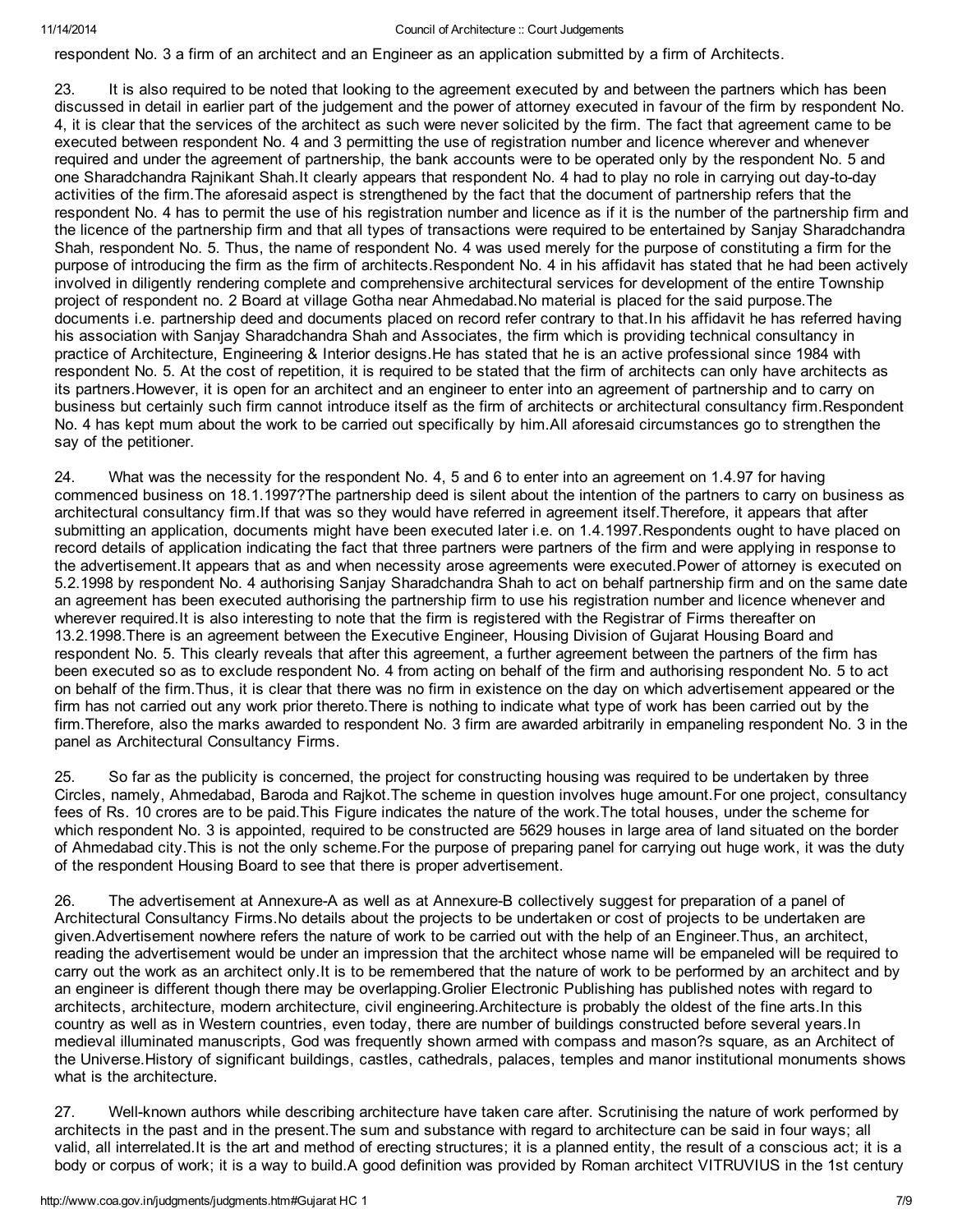respondent No. 3 a firm of an architect and an Engineer as an application submitted by a firm of Architects.

23. It is also required to be noted that looking to the agreement executed by and between the partners which has been discussed in detail in earlier part of the judgement and the power of attorney executed in favour of the firm by respondent No. 4, it is clear that the services of the architect as such were never solicited by the firm. The fact that agreement came to be executed between respondent No. 4 and 3 permitting the use of registration number and licence wherever and whenever required and under the agreement of partnership, the bank accounts were to be operated only by the respondent No. 5 and one Sharadchandra Rajnikant Shah.It clearly appears that respondent No. 4 had to play no role in carrying out day-to-day activities of the firm.The aforesaid aspect is strengthened by the fact that the document of partnership refers that the respondent No. 4 has to permit the use of his registration number and licence as if it is the number of the partnership firm and the licence of the partnership firm and that all types of transactions were required to be entertained by Sanjay Sharadchandra Shah, respondent No. 5. Thus, the name of respondent No. 4 was used merely for the purpose of constituting a firm for the purpose of introducing the firm as the firm of architects.Respondent No. 4 in his affidavit has stated that he had been actively involved in diligently rendering complete and comprehensive architectural services for development of the entire Township project of respondent no. 2 Board at village Gotha near Ahmedabad.No material is placed for the said purpose.The documents i.e. partnership deed and documents placed on record refer contrary to that.In his affidavit he has referred having his association with Sanjay Sharadchandra Shah and Associates, the firm which is providing technical consultancy in practice of Architecture, Engineering & Interior designs.He has stated that he is an active professional since 1984 with respondent No. 5. At the cost of repetition, it is required to be stated that the firm of architects can only have architects as its partners.However, it is open for an architect and an engineer to enter into an agreement of partnership and to carry on business but certainly such firm cannot introduce itself as the firm of architects or architectural consultancy firm.Respondent No. 4 has kept mum about the work to be carried out specifically by him.All aforesaid circumstances go to strengthen the say of the petitioner.

24. What was the necessity for the respondent No. 4, 5 and 6 to enter into an agreement on 1.4.97 for having commenced business on 18.1.1997?The partnership deed is silent about the intention of the partners to carry on business as architectural consultancy firm.If that was so they would have referred in agreement itself.Therefore, it appears that after submitting an application, documents might have been executed later i.e. on 1.4.1997.Respondents ought to have placed on record details of application indicating the fact that three partners were partners of the firm and were applying in response to the advertisement.It appears that as and when necessity arose agreements were executed.Power of attorney is executed on 5.2.1998 by respondent No. 4 authorising Sanjay Sharadchandra Shah to act on behalf partnership firm and on the same date an agreement has been executed authorising the partnership firm to use his registration number and licence whenever and wherever required.It is also interesting to note that the firm is registered with the Registrar of Firms thereafter on 13.2.1998.There is an agreement between the Executive Engineer, Housing Division of Gujarat Housing Board and respondent No. 5. This clearly reveals that after this agreement, a further agreement between the partners of the firm has been executed so as to exclude respondent No. 4 from acting on behalf of the firm and authorising respondent No. 5 to act on behalf of the firm.Thus, it is clear that there was no firm in existence on the day on which advertisement appeared or the firm has not carried out any work prior thereto.There is nothing to indicate what type of work has been carried out by the firm.Therefore, also the marks awarded to respondent No. 3 firm are awarded arbitrarily in empaneling respondent No. 3 in the panel as Architectural Consultancy Firms.

25. So far as the publicity is concerned, the project for constructing housing was required to be undertaken by three Circles, namely, Ahmedabad, Baroda and Rajkot.The scheme in question involves huge amount.For one project, consultancy fees of Rs. 10 crores are to be paid.This Figure indicates the nature of the work.The total houses, under the scheme for which respondent No. 3 is appointed, required to be constructed are 5629 houses in large area of land situated on the border of Ahmedabad city.This is not the only scheme.For the purpose of preparing panel for carrying out huge work, it was the duty of the respondent Housing Board to see that there is proper advertisement.

26. The advertisement at Annexure-A as well as at Annexure-B collectively suggest for preparation of a panel of Architectural Consultancy Firms.No details about the projects to be undertaken or cost of projects to be undertaken are given.Advertisement nowhere refers the nature of work to be carried out with the help of an Engineer.Thus, an architect, reading the advertisement would be under an impression that the architect whose name will be empaneled will be required to carry out the work as an architect only.It is to be remembered that the nature of work to be performed by an architect and by an engineer is different though there may be overlapping.Grolier Electronic Publishing has published notes with regard to architects, architecture, modern architecture, civil engineering.Architecture is probably the oldest of the fine arts.In this country as well as in Western countries, even today, there are number of buildings constructed before several years.In medieval illuminated manuscripts, God was frequently shown armed with compass and mason?s square, as an Architect of the Universe.History of significant buildings, castles, cathedrals, palaces, temples and manor institutional monuments shows what is the architecture.

27. Well-known authors while describing architecture have taken care after. Scrutinising the nature of work performed by architects in the past and in the present.The sum and substance with regard to architecture can be said in four ways; all valid, all interrelated.It is the art and method of erecting structures; it is a planned entity, the result of a conscious act; it is a body or corpus of work; it is a way to build.A good definition was provided by Roman architect VITRUVIUS in the 1st century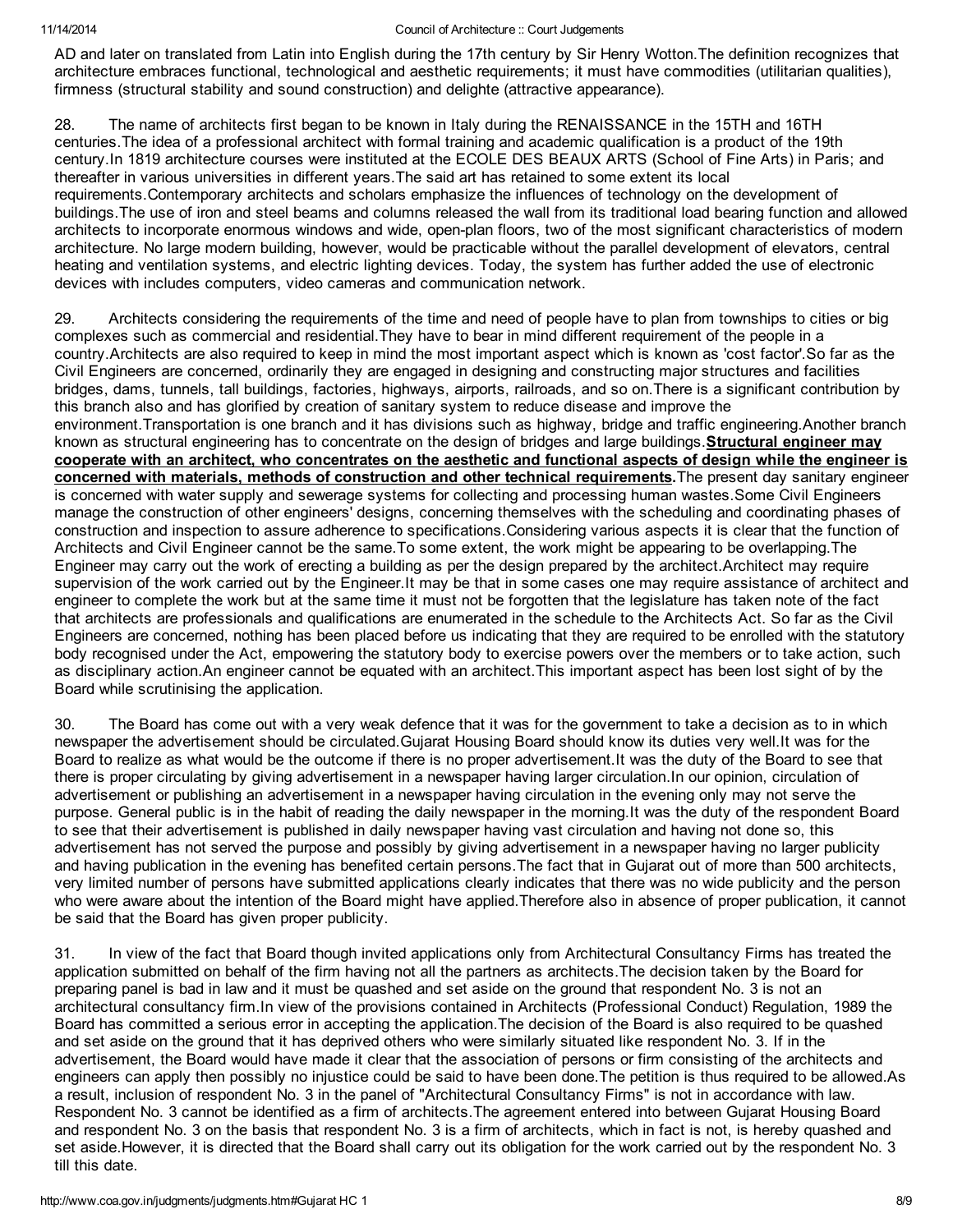AD and later on translated from Latin into English during the 17th century by Sir Henry Wotton.The definition recognizes that architecture embraces functional, technological and aesthetic requirements; it must have commodities (utilitarian qualities), firmness (structural stability and sound construction) and delighte (attractive appearance).

28. The name of architects first began to be known in Italy during the RENAISSANCE in the 15TH and 16TH centuries.The idea of a professional architect with formal training and academic qualification is a product of the 19th century.In 1819 architecture courses were instituted at the ECOLE DES BEAUX ARTS (School of Fine Arts) in Paris; and thereafter in various universities in different years.The said art has retained to some extent its local requirements.Contemporary architects and scholars emphasize the influences of technology on the development of buildings.The use of iron and steel beams and columns released the wall from its traditional load bearing function and allowed architects to incorporate enormous windows and wide, open-plan floors, two of the most significant characteristics of modern architecture. No large modern building, however, would be practicable without the parallel development of elevators, central heating and ventilation systems, and electric lighting devices. Today, the system has further added the use of electronic devices with includes computers, video cameras and communication network.

29. Architects considering the requirements of the time and need of people have to plan from townships to cities or big complexes such as commercial and residential.They have to bear in mind different requirement of the people in a country.Architects are also required to keep in mind the most important aspect which is known as 'cost factor'.So far as the Civil Engineers are concerned, ordinarily they are engaged in designing and constructing major structures and facilities bridges, dams, tunnels, tall buildings, factories, highways, airports, railroads, and so on.There is a significant contribution by this branch also and has glorified by creation of sanitary system to reduce disease and improve the environment.Transportation is one branch and it has divisions such as highway, bridge and traffic engineering.Another branch known as structural engineering has to concentrate on the design of bridges and large buildings. **Structural engineer may** cooperate with an architect, who concentrates on the aesthetic and functional aspects of design while the engineer is concerned with materials, methods of construction and other technical requirements. The present day sanitary engineer is concerned with water supply and sewerage systems for collecting and processing human wastes.Some Civil Engineers manage the construction of other engineers' designs, concerning themselves with the scheduling and coordinating phases of construction and inspection to assure adherence to specifications.Considering various aspects it is clear that the function of Architects and Civil Engineer cannot be the same.To some extent, the work might be appearing to be overlapping.The Engineer may carry out the work of erecting a building as per the design prepared by the architect.Architect may require supervision of the work carried out by the Engineer.It may be that in some cases one may require assistance of architect and engineer to complete the work but at the same time it must not be forgotten that the legislature has taken note of the fact that architects are professionals and qualifications are enumerated in the schedule to the Architects Act. So far as the Civil Engineers are concerned, nothing has been placed before us indicating that they are required to be enrolled with the statutory body recognised under the Act, empowering the statutory body to exercise powers over the members or to take action, such as disciplinary action.An engineer cannot be equated with an architect.This important aspect has been lost sight of by the Board while scrutinising the application.

30. The Board has come out with a very weak defence that it was for the government to take a decision as to in which newspaper the advertisement should be circulated.Gujarat Housing Board should know its duties very well.It was for the Board to realize as what would be the outcome if there is no proper advertisement.It was the duty of the Board to see that there is proper circulating by giving advertisement in a newspaper having larger circulation.In our opinion, circulation of advertisement or publishing an advertisement in a newspaper having circulation in the evening only may not serve the purpose. General public is in the habit of reading the daily newspaper in the morning.It was the duty of the respondent Board to see that their advertisement is published in daily newspaper having vast circulation and having not done so, this advertisement has not served the purpose and possibly by giving advertisement in a newspaper having no larger publicity and having publication in the evening has benefited certain persons.The fact that in Gujarat out of more than 500 architects, very limited number of persons have submitted applications clearly indicates that there was no wide publicity and the person who were aware about the intention of the Board might have applied.Therefore also in absence of proper publication, it cannot be said that the Board has given proper publicity.

31. In view of the fact that Board though invited applications only from Architectural Consultancy Firms has treated the application submitted on behalf of the firm having not all the partners as architects.The decision taken by the Board for preparing panel is bad in law and it must be quashed and set aside on the ground that respondent No. 3 is not an architectural consultancy firm.In view of the provisions contained in Architects (Professional Conduct) Regulation, 1989 the Board has committed a serious error in accepting the application.The decision of the Board is also required to be quashed and set aside on the ground that it has deprived others who were similarly situated like respondent No. 3. If in the advertisement, the Board would have made it clear that the association of persons or firm consisting of the architects and engineers can apply then possibly no injustice could be said to have been done.The petition is thus required to be allowed.As a result, inclusion of respondent No. 3 in the panel of "Architectural Consultancy Firms" is not in accordance with law. Respondent No. 3 cannot be identified as a firm of architects.The agreement entered into between Gujarat Housing Board and respondent No. 3 on the basis that respondent No. 3 is a firm of architects, which in fact is not, is hereby quashed and set aside.However, it is directed that the Board shall carry out its obligation for the work carried out by the respondent No. 3 till this date.